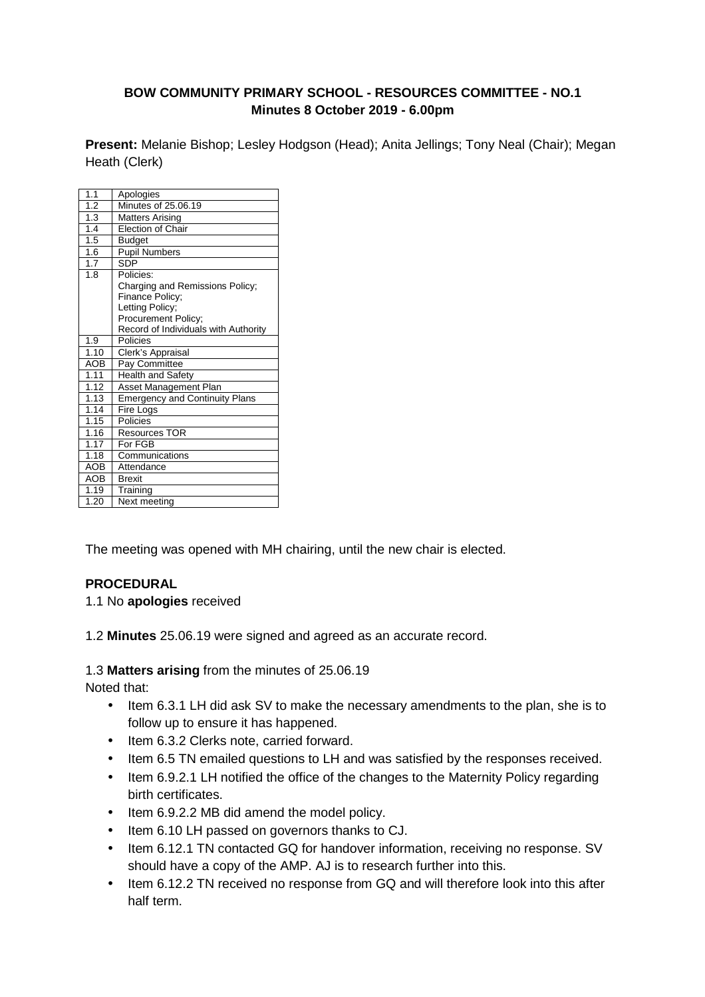#### **BOW COMMUNITY PRIMARY SCHOOL - RESOURCES COMMITTEE - NO.1 Minutes 8 October 2019 - 6.00pm**

**Present:** Melanie Bishop; Lesley Hodgson (Head); Anita Jellings; Tony Neal (Chair); Megan Heath (Clerk)

| 1.1              | Apologies                                                                                                                                         |
|------------------|---------------------------------------------------------------------------------------------------------------------------------------------------|
| $\overline{1.2}$ | Minutes of 25.06.19                                                                                                                               |
| 1.3              | <b>Matters Arising</b>                                                                                                                            |
| 1.4              | Election of Chair                                                                                                                                 |
| 1.5              | Budget                                                                                                                                            |
| 1.6              | <b>Pupil Numbers</b>                                                                                                                              |
| 1.7              | <b>SDP</b>                                                                                                                                        |
| 1.8              | Policies:<br>Charging and Remissions Policy;<br>Finance Policy;<br>Letting Policy;<br>Procurement Policy;<br>Record of Individuals with Authority |
| 1.9              | Policies                                                                                                                                          |
| 1.10             | Clerk's Appraisal                                                                                                                                 |
| <b>AOB</b>       | Pay Committee                                                                                                                                     |
| 1.11             | <b>Health and Safety</b>                                                                                                                          |
| 1.12             | <b>Asset Management Plan</b>                                                                                                                      |
| 1.13             | <b>Emergency and Continuity Plans</b>                                                                                                             |
| 1.14             | Fire Logs                                                                                                                                         |
| 1.15             | Policies                                                                                                                                          |
| 1.16             | <b>Resources TOR</b>                                                                                                                              |
| 1.17             | For FGB                                                                                                                                           |
| 1.18             | Communications                                                                                                                                    |
| <b>AOB</b>       | Attendance                                                                                                                                        |
| <b>AOB</b>       | <b>Brexit</b>                                                                                                                                     |
| 1.19             | Training                                                                                                                                          |
| 1.20             | Next meeting                                                                                                                                      |

The meeting was opened with MH chairing, until the new chair is elected.

#### **PROCEDURAL**

1.1 No **apologies** received

1.2 **Minutes** 25.06.19 were signed and agreed as an accurate record.

1.3 **Matters arising** from the minutes of 25.06.19

Noted that:

- Item 6.3.1 LH did ask SV to make the necessary amendments to the plan, she is to follow up to ensure it has happened.
- Item 6.3.2 Clerks note, carried forward.
- Item 6.5 TN emailed questions to LH and was satisfied by the responses received.
- Item 6.9.2.1 LH notified the office of the changes to the Maternity Policy regarding birth certificates.
- Item 6.9.2.2 MB did amend the model policy.
- Item 6.10 LH passed on governors thanks to CJ.
- Item 6.12.1 TN contacted GQ for handover information, receiving no response. SV should have a copy of the AMP. AJ is to research further into this.
- Item 6.12.2 TN received no response from GQ and will therefore look into this after half term.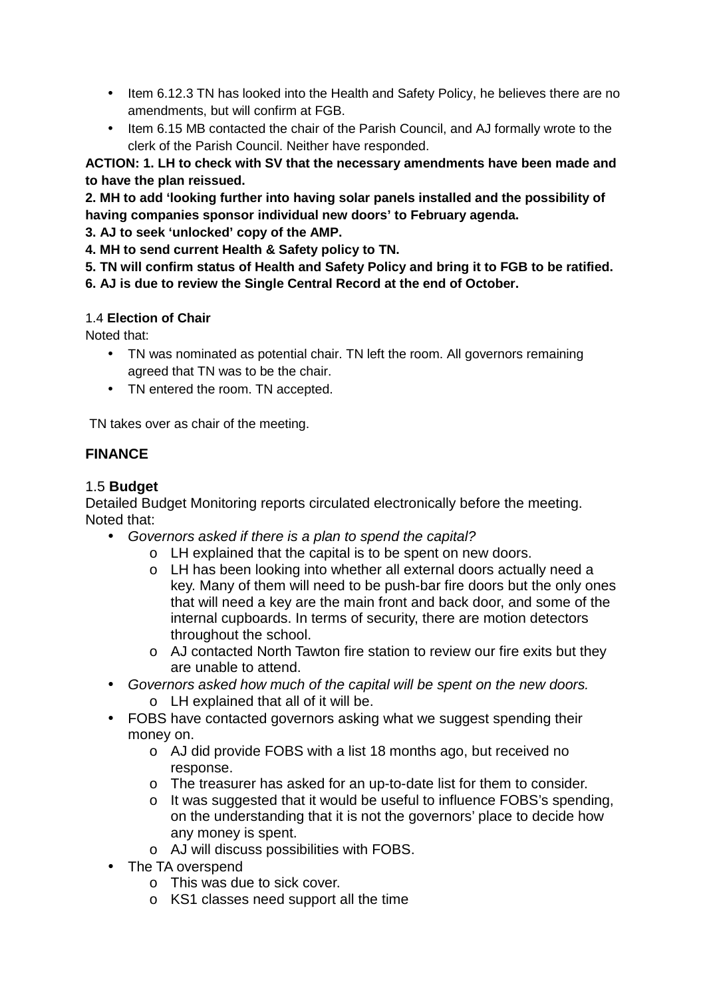- Item 6.12.3 TN has looked into the Health and Safety Policy, he believes there are no amendments, but will confirm at FGB.
- Item 6.15 MB contacted the chair of the Parish Council, and AJ formally wrote to the clerk of the Parish Council. Neither have responded.

**ACTION: 1. LH to check with SV that the necessary amendments have been made and to have the plan reissued.** 

**2. MH to add 'looking further into having solar panels installed and the possibility of having companies sponsor individual new doors' to February agenda.** 

**3. AJ to seek 'unlocked' copy of the AMP.** 

**4. MH to send current Health & Safety policy to TN.**

**5. TN will confirm status of Health and Safety Policy and bring it to FGB to be ratified.** 

**6. AJ is due to review the Single Central Record at the end of October.** 

## 1.4 **Election of Chair**

Noted that:

- TN was nominated as potential chair. TN left the room. All governors remaining agreed that TN was to be the chair.
- TN entered the room. TN accepted.

TN takes over as chair of the meeting.

# **FINANCE**

# 1.5 **Budget**

Detailed Budget Monitoring reports circulated electronically before the meeting. Noted that:

- Governors asked if there is a plan to spend the capital?
	- o LH explained that the capital is to be spent on new doors.
		- o LH has been looking into whether all external doors actually need a key. Many of them will need to be push-bar fire doors but the only ones that will need a key are the main front and back door, and some of the internal cupboards. In terms of security, there are motion detectors throughout the school.
		- o AJ contacted North Tawton fire station to review our fire exits but they are unable to attend.
- Governors asked how much of the capital will be spent on the new doors. o LH explained that all of it will be.
- FOBS have contacted governors asking what we suggest spending their money on.
	- o AJ did provide FOBS with a list 18 months ago, but received no response.
	- o The treasurer has asked for an up-to-date list for them to consider.
	- o It was suggested that it would be useful to influence FOBS's spending, on the understanding that it is not the governors' place to decide how any money is spent.
	- o AJ will discuss possibilities with FOBS.
- The TA overspend
	- o This was due to sick cover.
	- o KS1 classes need support all the time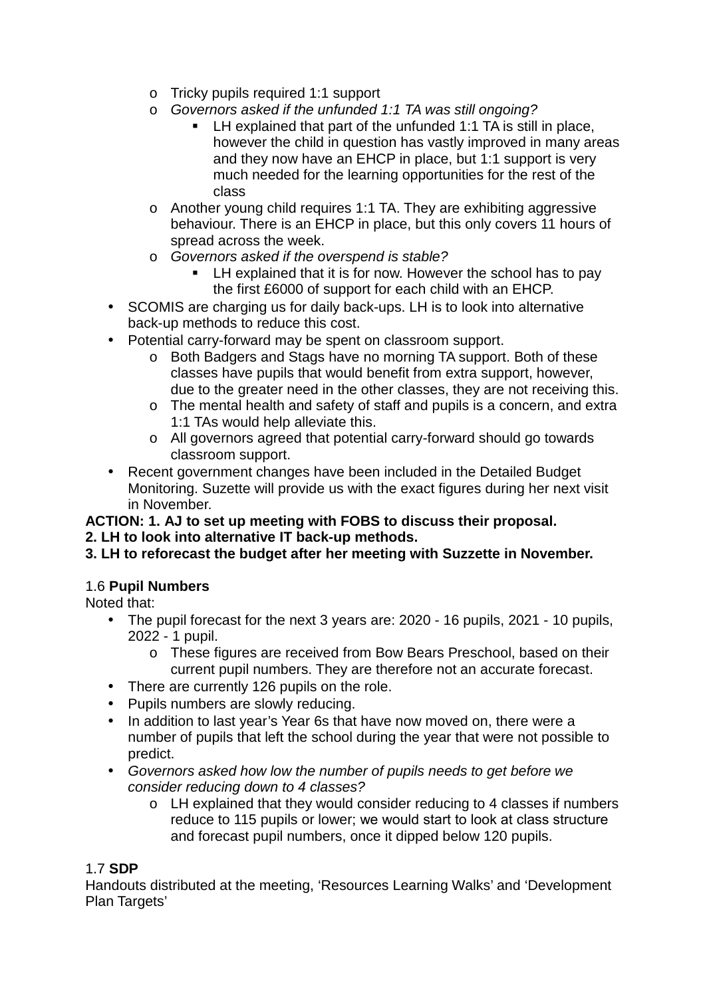- o Tricky pupils required 1:1 support
- o Governors asked if the unfunded 1:1 TA was still ongoing?
	- LH explained that part of the unfunded 1:1 TA is still in place, however the child in question has vastly improved in many areas and they now have an EHCP in place, but 1:1 support is very much needed for the learning opportunities for the rest of the class
- o Another young child requires 1:1 TA. They are exhibiting aggressive behaviour. There is an EHCP in place, but this only covers 11 hours of spread across the week.
- o Governors asked if the overspend is stable?
	- **EXTER** LH explained that it is for now. However the school has to pay the first £6000 of support for each child with an EHCP.
- SCOMIS are charging us for daily back-ups. LH is to look into alternative back-up methods to reduce this cost.
- Potential carry-forward may be spent on classroom support.
	- o Both Badgers and Stags have no morning TA support. Both of these classes have pupils that would benefit from extra support, however, due to the greater need in the other classes, they are not receiving this.
	- o The mental health and safety of staff and pupils is a concern, and extra 1:1 TAs would help alleviate this.
	- o All governors agreed that potential carry-forward should go towards classroom support.
- Recent government changes have been included in the Detailed Budget Monitoring. Suzette will provide us with the exact figures during her next visit in November.

# **ACTION: 1. AJ to set up meeting with FOBS to discuss their proposal.**

**2. LH to look into alternative IT back-up methods.** 

# **3. LH to reforecast the budget after her meeting with Suzzette in November.**

# 1.6 **Pupil Numbers**

Noted that:

- The pupil forecast for the next 3 years are: 2020 16 pupils, 2021 10 pupils, 2022 - 1 pupil.
	- o These figures are received from Bow Bears Preschool, based on their current pupil numbers. They are therefore not an accurate forecast.
- There are currently 126 pupils on the role.
- Pupils numbers are slowly reducing.
- In addition to last year's Year 6s that have now moved on, there were a number of pupils that left the school during the year that were not possible to predict.
- Governors asked how low the number of pupils needs to get before we consider reducing down to 4 classes?
	- o LH explained that they would consider reducing to 4 classes if numbers reduce to 115 pupils or lower; we would start to look at class structure and forecast pupil numbers, once it dipped below 120 pupils.

# 1.7 **SDP**

Handouts distributed at the meeting, 'Resources Learning Walks' and 'Development Plan Targets'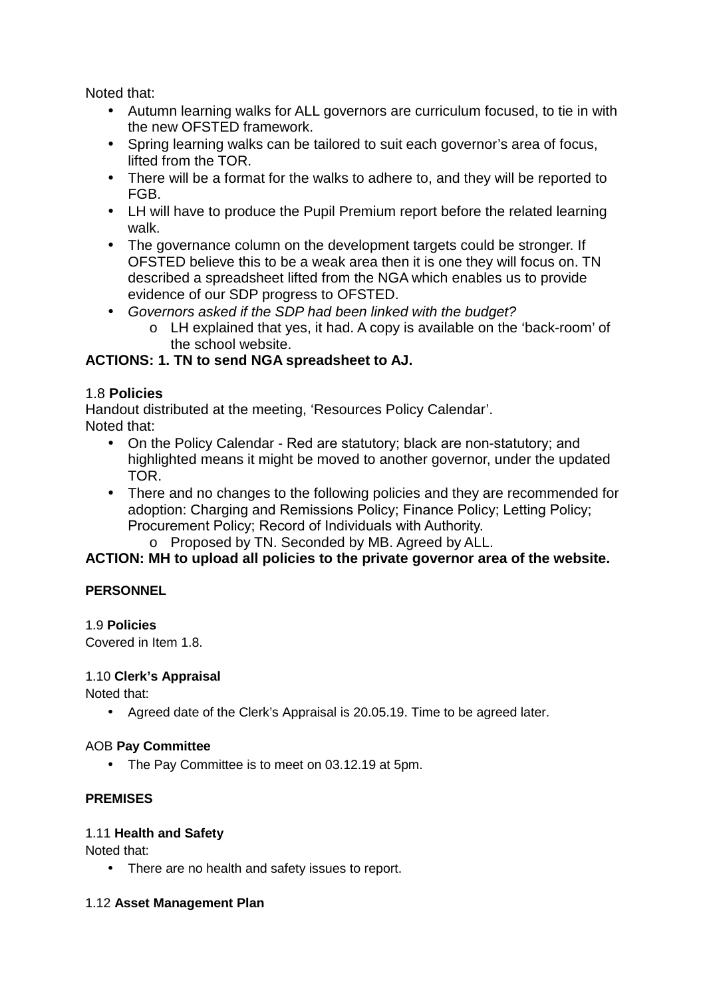Noted that:

- Autumn learning walks for ALL governors are curriculum focused, to tie in with the new OFSTED framework.
- Spring learning walks can be tailored to suit each governor's area of focus, lifted from the TOR.
- There will be a format for the walks to adhere to, and they will be reported to FGB.
- LH will have to produce the Pupil Premium report before the related learning walk.
- The governance column on the development targets could be stronger. If OFSTED believe this to be a weak area then it is one they will focus on. TN described a spreadsheet lifted from the NGA which enables us to provide evidence of our SDP progress to OFSTED.
- Governors asked if the SDP had been linked with the budget?
	- o LH explained that yes, it had. A copy is available on the 'back-room' of the school website.

# **ACTIONS: 1. TN to send NGA spreadsheet to AJ.**

## 1.8 **Policies**

Handout distributed at the meeting, 'Resources Policy Calendar'. Noted that:

- On the Policy Calendar Red are statutory; black are non-statutory; and highlighted means it might be moved to another governor, under the updated TOR.
- There and no changes to the following policies and they are recommended for adoption: Charging and Remissions Policy; Finance Policy; Letting Policy; Procurement Policy; Record of Individuals with Authority.
	- o Proposed by TN. Seconded by MB. Agreed by ALL.

# **ACTION: MH to upload all policies to the private governor area of the website.**

#### **PERSONNEL**

# 1.9 **Policies**

Covered in Item 1.8.

#### 1.10 **Clerk's Appraisal**

Noted that:

• Agreed date of the Clerk's Appraisal is 20.05.19. Time to be agreed later.

#### AOB **Pay Committee**

• The Pay Committee is to meet on 03.12.19 at 5pm.

# **PREMISES**

#### 1.11 **Health and Safety**

Noted that:

• There are no health and safety issues to report.

#### 1.12 **Asset Management Plan**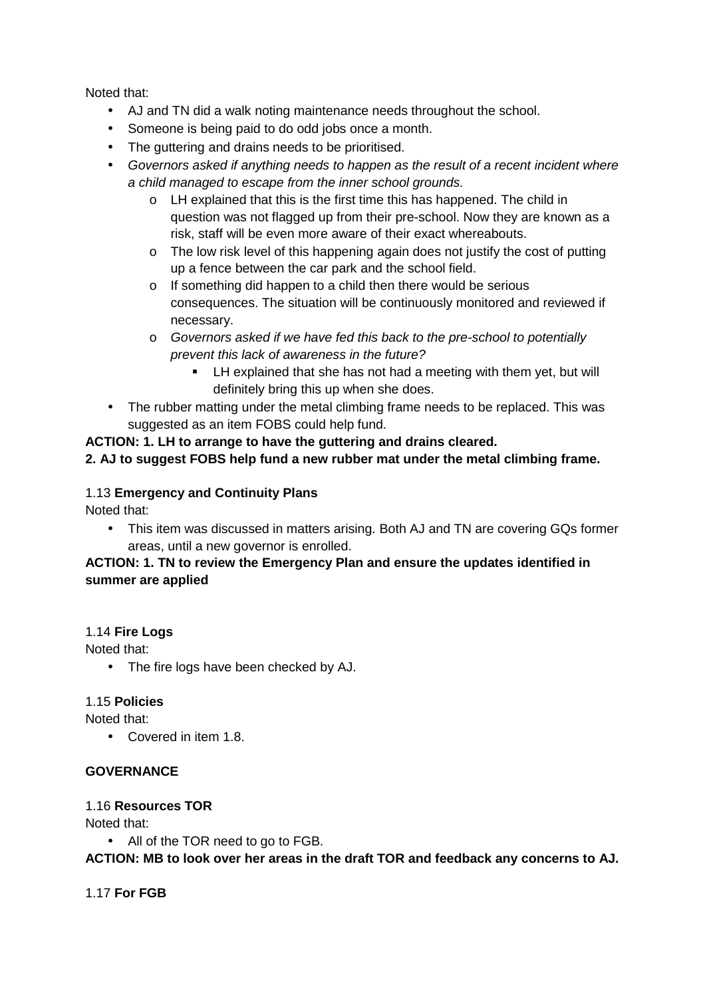Noted that:

- AJ and TN did a walk noting maintenance needs throughout the school.
- Someone is being paid to do odd jobs once a month.
- The guttering and drains needs to be prioritised.
- Governors asked if anything needs to happen as the result of a recent incident where a child managed to escape from the inner school grounds.
	- o LH explained that this is the first time this has happened. The child in question was not flagged up from their pre-school. Now they are known as a risk, staff will be even more aware of their exact whereabouts.
	- o The low risk level of this happening again does not justify the cost of putting up a fence between the car park and the school field.
	- o If something did happen to a child then there would be serious consequences. The situation will be continuously monitored and reviewed if necessary.
	- o Governors asked if we have fed this back to the pre-school to potentially prevent this lack of awareness in the future?
		- LH explained that she has not had a meeting with them yet, but will definitely bring this up when she does.
- The rubber matting under the metal climbing frame needs to be replaced. This was suggested as an item FOBS could help fund.

#### **ACTION: 1. LH to arrange to have the guttering and drains cleared.**

#### **2. AJ to suggest FOBS help fund a new rubber mat under the metal climbing frame.**

## 1.13 **Emergency and Continuity Plans**

Noted that:

• This item was discussed in matters arising. Both AJ and TN are covering GQs former areas, until a new governor is enrolled.

## **ACTION: 1. TN to review the Emergency Plan and ensure the updates identified in summer are applied**

#### 1.14 **Fire Logs**

Noted that:

• The fire logs have been checked by AJ.

#### 1.15 **Policies**

Noted that:

• Covered in item 1.8.

### **GOVERNANCE**

#### 1.16 **Resources TOR**

Noted that:

• All of the TOR need to go to FGB.

**ACTION: MB to look over her areas in the draft TOR and feedback any concerns to AJ.** 

1.17 **For FGB**